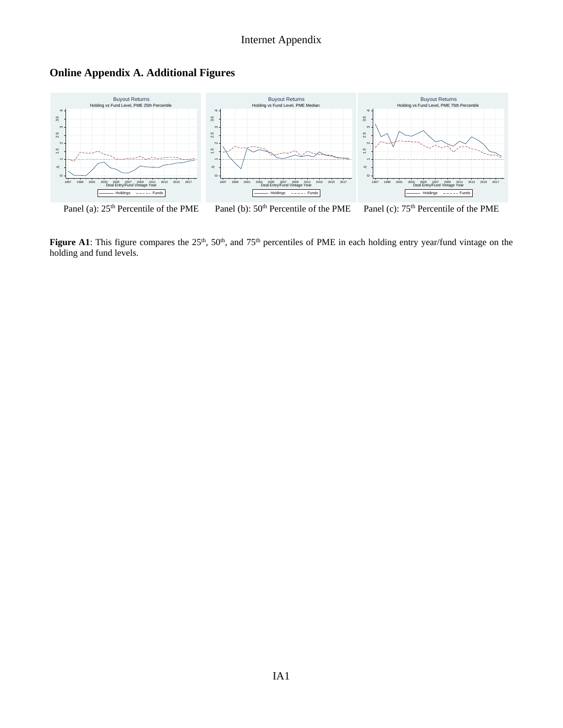



Figure A1: This figure compares the 25<sup>th</sup>, 50<sup>th</sup>, and 75<sup>th</sup> percentiles of PME in each holding entry year/fund vintage on the holding and fund levels.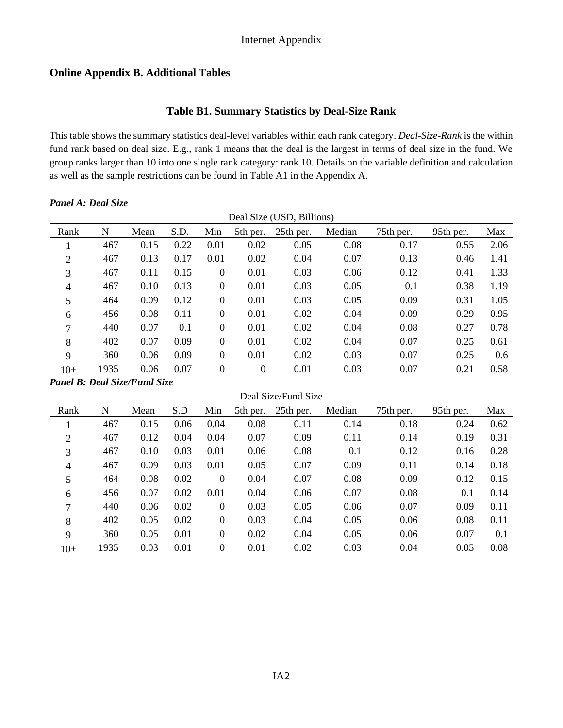## **Online Appendix B. Additional Tables**

### **Table B1. Summary Statistics by Deal-Size Rank**

This table shows the summary statistics deal-level variables within each rank category. *Deal-Size-Rank* is the within fund rank based on deal size. E.g., rank 1 means that the deal is the largest in terms of deal size in the fund. We group ranks larger than 10 into one single rank category: rank 10. Details on the variable definition and calculation as well as the sample restrictions can be found in Table A1 in the Appendix A.

| Panel A: Deal Size                  |             |      |      |                  |                  |                           |        |           |           |      |
|-------------------------------------|-------------|------|------|------------------|------------------|---------------------------|--------|-----------|-----------|------|
|                                     |             |      |      |                  |                  | Deal Size (USD, Billions) |        |           |           |      |
| Rank                                | N           | Mean | S.D. | Min              | 5th per.         | 25th per.                 | Median | 75th per. | 95th per. | Max  |
| T                                   | 467         | 0.15 | 0.22 | 0.01             | 0.02             | 0.05                      | 0.08   | 0.17      | 0.55      | 2.06 |
| $\overline{2}$                      | 467         | 0.13 | 0.17 | 0.01             | 0.02             | 0.04                      | 0.07   | 0.13      | 0.46      | 1.41 |
| 3                                   | 467         | 0.11 | 0.15 | $\Omega$         | 0.01             | 0.03                      | 0.06   | 0.12      | 0.41      | 1.33 |
| $\overline{4}$                      | 467         | 0.10 | 0.13 | $\overline{0}$   | 0.01             | 0.03                      | 0.05   | 0.1       | 0.38      | 1.19 |
| 5                                   | 464         | 0.09 | 0.12 | $\boldsymbol{0}$ | 0.01             | 0.03                      | 0.05   | 0.09      | 0.31      | 1.05 |
| 6                                   | 456         | 0.08 | 0.11 | $\boldsymbol{0}$ | 0.01             | 0.02                      | 0.04   | 0.09      | 0.29      | 0.95 |
| 7                                   | 440         | 0.07 | 0.1  | $\mathbf{0}$     | 0.01             | 0.02                      | 0.04   | 0.08      | 0.27      | 0.78 |
| 8                                   | 402         | 0.07 | 0.09 | $\overline{0}$   | 0.01             | 0.02                      | 0.04   | 0.07      | 0.25      | 0.61 |
| 9                                   | 360         | 0.06 | 0.09 | $\theta$         | 0.01             | 0.02                      | 0.03   | 0.07      | 0.25      | 0.6  |
| $10+$                               | 1935        | 0.06 | 0.07 | $\boldsymbol{0}$ | $\boldsymbol{0}$ | 0.01                      | 0.03   | 0.07      | 0.21      | 0.58 |
| <b>Panel B: Deal Size/Fund Size</b> |             |      |      |                  |                  |                           |        |           |           |      |
|                                     |             |      |      |                  |                  | Deal Size/Fund Size       |        |           |           |      |
| Rank                                | $\mathbf N$ | Mean | S.D  | Min              | 5th per.         | 25th per.                 | Median | 75th per. | 95th per. | Max  |
|                                     | 467         | 0.15 | 0.06 | 0.04             | 0.08             | 0.11                      | 0.14   | 0.18      | 0.24      | 0.62 |

| Trann          | <b>TT</b> | www  | ັບ.  | ,,,,,,         | Juli poli | $\omega$ ul poli | www. | $1.0$ and $1.0$ | $20$ and $100$ | 11102 |
|----------------|-----------|------|------|----------------|-----------|------------------|------|-----------------|----------------|-------|
|                | 467       | 0.15 | 0.06 | 0.04           | 0.08      | 0.11             | 0.14 | 0.18            | 0.24           | 0.62  |
| 2              | 467       | 0.12 | 0.04 | 0.04           | 0.07      | 0.09             | 0.11 | 0.14            | 0.19           | 0.31  |
| 3              | 467       | 0.10 | 0.03 | 0.01           | 0.06      | 0.08             | 0.1  | 0.12            | 0.16           | 0.28  |
| $\overline{4}$ | 467       | 0.09 | 0.03 | 0.01           | 0.05      | 0.07             | 0.09 | 0.11            | 0.14           | 0.18  |
| 5              | 464       | 0.08 | 0.02 | $\theta$       | 0.04      | 0.07             | 0.08 | 0.09            | 0.12           | 0.15  |
| 6              | 456       | 0.07 | 0.02 | 0.01           | 0.04      | 0.06             | 0.07 | 0.08            | 0.1            | 0.14  |
| 7              | 440       | 0.06 | 0.02 | $\overline{0}$ | 0.03      | 0.05             | 0.06 | 0.07            | 0.09           | 0.11  |
| 8              | 402       | 0.05 | 0.02 | $\overline{0}$ | 0.03      | 0.04             | 0.05 | 0.06            | 0.08           | 0.11  |
| 9              | 360       | 0.05 | 0.01 | $\theta$       | 0.02      | 0.04             | 0.05 | 0.06            | 0.07           | 0.1   |
| $10+$          | 1935      | 0.03 | 0.01 | $\overline{0}$ | 0.01      | 0.02             | 0.03 | 0.04            | 0.05           | 0.08  |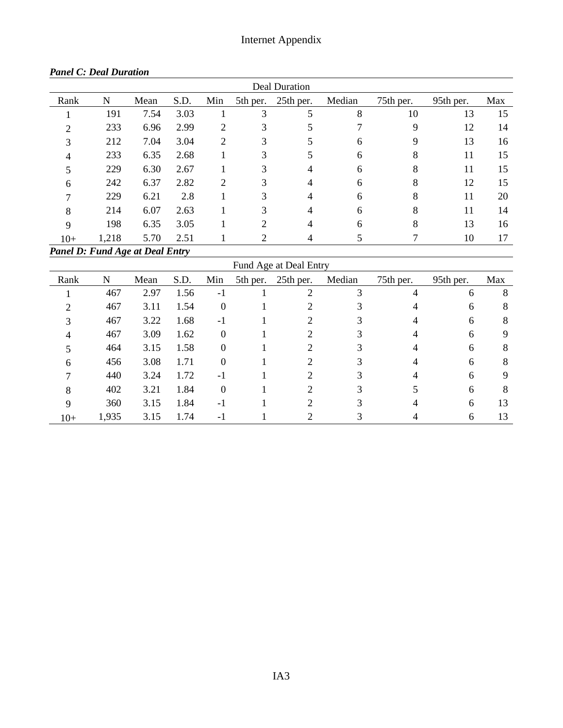| Deal Duration |       |      |      |     |                |           |        |           |           |     |  |  |
|---------------|-------|------|------|-----|----------------|-----------|--------|-----------|-----------|-----|--|--|
| Rank          | N     | Mean | S.D. | Min | 5th per.       | 25th per. | Median | 75th per. | 95th per. | Max |  |  |
|               | 191   | 7.54 | 3.03 |     | 3              |           | 8      | 10        | 13        | 15  |  |  |
| ∍             | 233   | 6.96 | 2.99 | 2   | 3              |           |        | 9         | 12        | 14  |  |  |
| 3             | 212   | 7.04 | 3.04 | 2   | 3              | 5         | 6      | 9         | 13        | 16  |  |  |
| 4             | 233   | 6.35 | 2.68 |     | 3              | 5         | 6      | 8         | 11        | 15  |  |  |
|               | 229   | 6.30 | 2.67 |     | 3              | 4         | 6      | 8         | 11        | 15  |  |  |
| 6             | 242   | 6.37 | 2.82 | 2   | 3              | 4         | 6      | 8         | 12        | 15  |  |  |
|               | 229   | 6.21 | 2.8  |     | 3              | 4         | 6      | 8         | 11        | 20  |  |  |
| 8             | 214   | 6.07 | 2.63 |     | 3              | 4         | 6      | 8         | 11        | 14  |  |  |
| 9             | 198   | 6.35 | 3.05 |     | $\overline{2}$ | 4         | 6      | 8         | 13        | 16  |  |  |
| $10+$         | 1,218 | 5.70 | 2.51 |     | $\overline{2}$ | 4         |        |           | 10        | 17  |  |  |

#### *Panel C: Deal Duration*

*Panel D: Fund Age at Deal Entry*

Fund Age at Deal Entry

| Rank  | N     | Mean | S.D. | Min              | 5th per. 25th per. | Median | 75th per. | 95th per. | Max |
|-------|-------|------|------|------------------|--------------------|--------|-----------|-----------|-----|
|       | 467   | 2.97 | 1.56 | -1               |                    |        |           | 6         | 8   |
|       | 467   | 3.11 | 1.54 | $\boldsymbol{0}$ |                    |        |           | 6         | 8   |
|       | 467   | 3.22 | 1.68 | $-1$             |                    |        |           | 6         | 8   |
|       | 467   | 3.09 | 1.62 | $\boldsymbol{0}$ |                    |        |           | 6         | 9   |
|       | 464   | 3.15 | 1.58 | $\boldsymbol{0}$ |                    |        |           | 6         | 8   |
| 6     | 456   | 3.08 | 1.71 | $\Omega$         |                    |        |           | 6         | 8   |
|       | 440   | 3.24 | 1.72 | $-1$             |                    |        |           | 6         | Q   |
| 8     | 402   | 3.21 | 1.84 | $\theta$         |                    |        |           | 6         | 8   |
| 9     | 360   | 3.15 | 1.84 | $-1$             |                    |        |           | 6         | 13  |
| $10+$ | 1,935 | 3.15 | 1.74 | $-1$             |                    |        |           | 6         | 13  |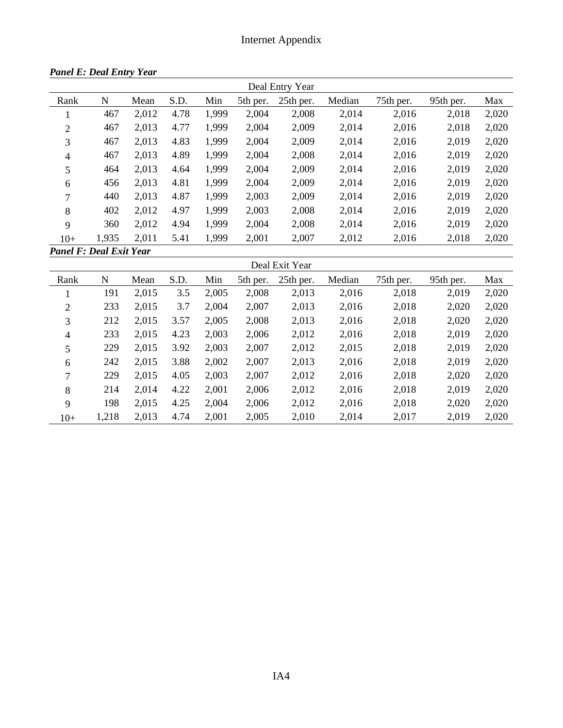|                                |       |       |      |       |          | Deal Entry Year |        |           |           |       |
|--------------------------------|-------|-------|------|-------|----------|-----------------|--------|-----------|-----------|-------|
| Rank                           | N     | Mean  | S.D. | Min   | 5th per. | 25th per.       | Median | 75th per. | 95th per. | Max   |
| 1                              | 467   | 2,012 | 4.78 | 1,999 | 2,004    | 2,008           | 2,014  | 2,016     | 2,018     | 2,020 |
| $\overline{2}$                 | 467   | 2,013 | 4.77 | 1,999 | 2,004    | 2,009           | 2,014  | 2,016     | 2,018     | 2,020 |
| 3                              | 467   | 2,013 | 4.83 | 1,999 | 2,004    | 2,009           | 2,014  | 2,016     | 2,019     | 2,020 |
| $\overline{4}$                 | 467   | 2,013 | 4.89 | 1,999 | 2,004    | 2,008           | 2,014  | 2,016     | 2,019     | 2,020 |
| 5                              | 464   | 2,013 | 4.64 | 1,999 | 2,004    | 2,009           | 2,014  | 2,016     | 2,019     | 2,020 |
| 6                              | 456   | 2,013 | 4.81 | 1,999 | 2,004    | 2,009           | 2,014  | 2,016     | 2,019     | 2,020 |
| 7                              | 440   | 2,013 | 4.87 | 1,999 | 2,003    | 2,009           | 2,014  | 2,016     | 2,019     | 2,020 |
| 8                              | 402   | 2,012 | 4.97 | 1,999 | 2,003    | 2,008           | 2,014  | 2,016     | 2,019     | 2,020 |
| 9                              | 360   | 2,012 | 4.94 | 1,999 | 2,004    | 2,008           | 2,014  | 2,016     | 2,019     | 2,020 |
| $10+$                          | 1,935 | 2,011 | 5.41 | 1,999 | 2,001    | 2,007           | 2,012  | 2,016     | 2,018     | 2,020 |
| <b>Panel F: Deal Exit Year</b> |       |       |      |       |          |                 |        |           |           |       |

*Panel E: Deal Entry Year*

| Deal Exit Year |       |       |      |       |          |           |        |           |           |       |  |
|----------------|-------|-------|------|-------|----------|-----------|--------|-----------|-----------|-------|--|
| Rank           | N     | Mean  | S.D. | Min   | 5th per. | 25th per. | Median | 75th per. | 95th per. | Max   |  |
|                | 191   | 2,015 | 3.5  | 2,005 | 2,008    | 2,013     | 2,016  | 2,018     | 2,019     | 2,020 |  |
| 2              | 233   | 2,015 | 3.7  | 2,004 | 2,007    | 2,013     | 2,016  | 2,018     | 2,020     | 2,020 |  |
| 3              | 212   | 2,015 | 3.57 | 2,005 | 2,008    | 2,013     | 2,016  | 2,018     | 2,020     | 2,020 |  |
| $\overline{4}$ | 233   | 2,015 | 4.23 | 2,003 | 2,006    | 2,012     | 2,016  | 2,018     | 2,019     | 2,020 |  |
| 5              | 229   | 2,015 | 3.92 | 2,003 | 2,007    | 2,012     | 2,015  | 2,018     | 2,019     | 2,020 |  |
| 6              | 242   | 2,015 | 3.88 | 2,002 | 2,007    | 2,013     | 2,016  | 2,018     | 2,019     | 2,020 |  |
| 7              | 229   | 2,015 | 4.05 | 2,003 | 2,007    | 2,012     | 2,016  | 2,018     | 2,020     | 2,020 |  |
| 8              | 214   | 2,014 | 4.22 | 2,001 | 2,006    | 2,012     | 2,016  | 2,018     | 2,019     | 2,020 |  |
| 9              | 198   | 2,015 | 4.25 | 2,004 | 2,006    | 2,012     | 2,016  | 2,018     | 2,020     | 2,020 |  |
| $10+$          | 1,218 | 2,013 | 4.74 | 2,001 | 2,005    | 2,010     | 2,014  | 2,017     | 2,019     | 2,020 |  |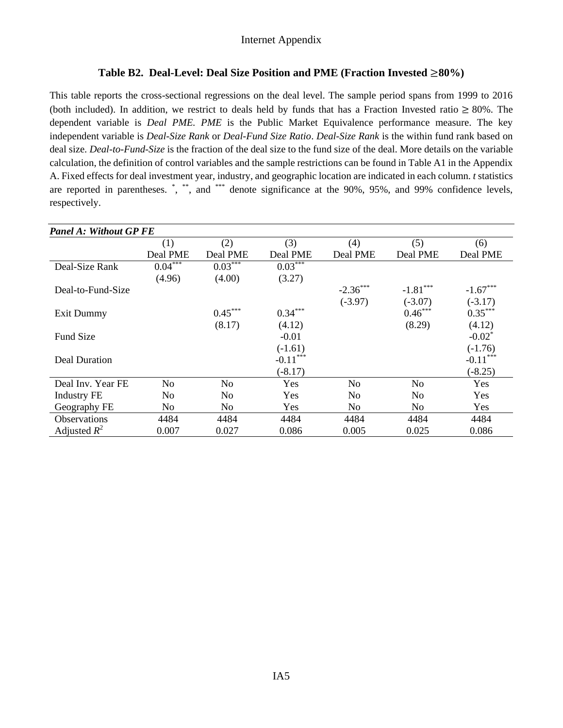#### **Table B2. Deal-Level: Deal Size Position and PME (Fraction Invested** ≥**80%)**

This table reports the cross-sectional regressions on the deal level. The sample period spans from 1999 to 2016 (both included). In addition, we restrict to deals held by funds that has a Fraction Invested ratio  $\geq 80\%$ . The dependent variable is *Deal PME. PME* is the Public Market Equivalence performance measure. The key independent variable is *Deal-Size Rank* or *Deal-Fund Size Ratio*. *Deal-Size Rank* is the within fund rank based on deal size. *Deal-to-Fund-Size* is the fraction of the deal size to the fund size of the deal. More details on the variable calculation, the definition of control variables and the sample restrictions can be found in Table A1 in the Appendix A. Fixed effects for deal investment year, industry, and geographic location are indicated in each column. *t* statistics are reported in parentheses.  $\check{ }$ ,  $\check{ }$ , and  $\check{ }$  denote significance at the 90%, 95%, and 99% confidence levels, respectively.

| <b>Panel A: Without GP FE</b> |           |           |            |                |            |            |
|-------------------------------|-----------|-----------|------------|----------------|------------|------------|
|                               | (1)       | (2)       | (3)        | (4)            | (5)        | (6)        |
|                               | Deal PME  | Deal PME  | Deal PME   | Deal PME       | Deal PME   | Deal PME   |
| Deal-Size Rank                | $0.04***$ | $0.03***$ | $0.03***$  |                |            |            |
|                               | (4.96)    | (4.00)    | (3.27)     |                |            |            |
| Deal-to-Fund-Size             |           |           |            | $-2.36$ ***    | $-1.81***$ | $-1.67***$ |
|                               |           |           |            | $(-3.97)$      | $(-3.07)$  | $(-3.17)$  |
| Exit Dummy                    |           | $0.45***$ | $0.34***$  |                | $0.46***$  | $0.35***$  |
|                               |           | (8.17)    | (4.12)     |                | (8.29)     | (4.12)     |
| Fund Size                     |           |           | $-0.01$    |                |            | $-0.02^*$  |
|                               |           |           | $(-1.61)$  |                |            | $(-1.76)$  |
| Deal Duration                 |           |           | $-0.11***$ |                |            | $-0.11***$ |
|                               |           |           | $(-8.17)$  |                |            | $(-8.25)$  |
| Deal Inv. Year FE             | No        | No        | Yes        | N <sub>0</sub> | No         | Yes        |
| <b>Industry FE</b>            | No        | No        | Yes        | No             | No         | Yes        |
| Geography FE                  | No        | No        | Yes        | No             | No         | Yes        |
| <b>Observations</b>           | 4484      | 4484      | 4484       | 4484           | 4484       | 4484       |
| Adjusted $R^2$                | 0.007     | 0.027     | 0.086      | 0.005          | 0.025      | 0.086      |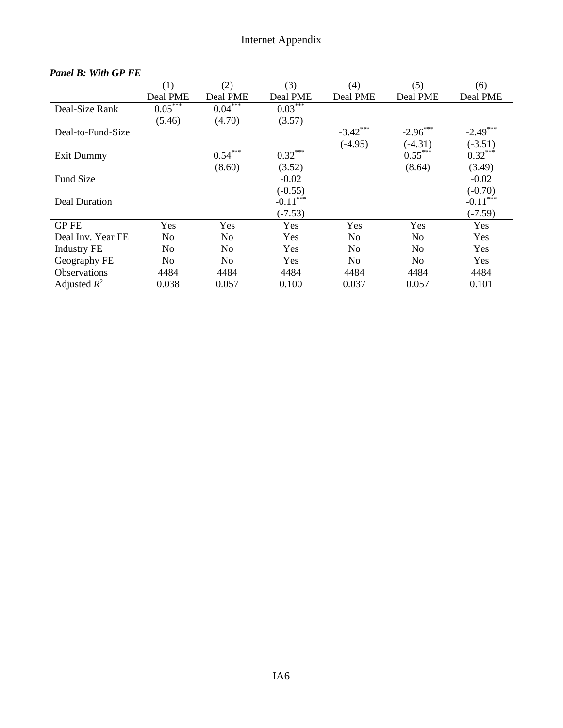|                     | (1)       | (2)       | (3)        | (4)            | (5)            | (6)         |
|---------------------|-----------|-----------|------------|----------------|----------------|-------------|
|                     | Deal PME  | Deal PME  | Deal PME   | Deal PME       | Deal PME       | Deal PME    |
| Deal-Size Rank      | $0.05***$ | $0.04***$ | $0.03***$  |                |                |             |
|                     | (5.46)    | (4.70)    | (3.57)     |                |                |             |
| Deal-to-Fund-Size   |           |           |            | $-3.42$ ***    | $-2.96$ ***    | $-2.49$ *** |
|                     |           |           |            | $(-4.95)$      | $(-4.31)$      | $(-3.51)$   |
| Exit Dummy          |           | $0.54***$ | $0.32***$  |                | $0.55***$      | $0.32***$   |
|                     |           | (8.60)    | (3.52)     |                | (8.64)         | (3.49)      |
| <b>Fund Size</b>    |           |           | $-0.02$    |                |                | $-0.02$     |
|                     |           |           | $(-0.55)$  |                |                | $(-0.70)$   |
| Deal Duration       |           |           | $-0.11***$ |                |                | $-0.11***$  |
|                     |           |           | $(-7.53)$  |                |                | $(-7.59)$   |
| <b>GPFE</b>         | Yes       | Yes       | Yes        | Yes            | Yes            | Yes         |
| Deal Inv. Year FE   | No        | No        | Yes        | N <sub>0</sub> | N <sub>0</sub> | Yes         |
| <b>Industry FE</b>  | No        | No        | Yes        | N <sub>0</sub> | No             | Yes         |
| Geography FE        | No        | No        | Yes        | N <sub>0</sub> | No             | Yes         |
| <b>Observations</b> | 4484      | 4484      | 4484       | 4484           | 4484           | 4484        |
| Adjusted $R^2$      | 0.038     | 0.057     | 0.100      | 0.037          | 0.057          | 0.101       |

### *Panel B: With GP FE*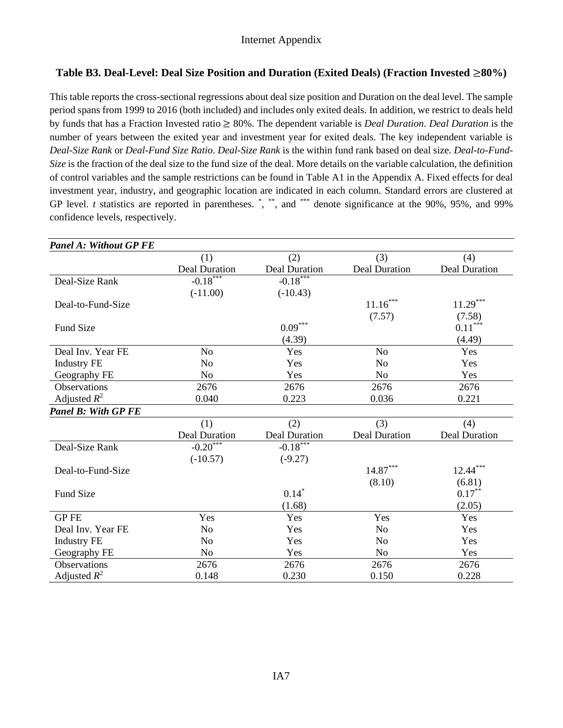### **Table B3. Deal-Level: Deal Size Position and Duration (Exited Deals) (Fraction Invested** ≥**80%)**

This table reports the cross-sectional regressions about deal size position and Duration on the deal level. The sample period spans from 1999 to 2016 (both included) and includes only exited deals. In addition, we restrict to deals held by funds that has a Fraction Invested ratio ≥ 80%. The dependent variable is *Deal Duration*. *Deal Duration* is the number of years between the exited year and investment year for exited deals. The key independent variable is *Deal-Size Rank* or *Deal-Fund Size Ratio*. *Deal-Size Rank* is the within fund rank based on deal size. *Deal-to-Fund-Size* is the fraction of the deal size to the fund size of the deal. More details on the variable calculation, the definition of control variables and the sample restrictions can be found in Table A1 in the Appendix A. Fixed effects for deal investment year, industry, and geographic location are indicated in each column. Standard errors are clustered at GP level. *t* statistics are reported in parentheses. \*, \*\*, and \*\*\* denote significance at the 90%, 95%, and 99% confidence levels, respectively.

| <b>Panel A: Without GP FE</b> |                        |                      |                      |                      |
|-------------------------------|------------------------|----------------------|----------------------|----------------------|
|                               | (1)                    | (2)                  | (3)                  | (4)                  |
|                               | Deal Duration          | <b>Deal Duration</b> | <b>Deal Duration</b> | <b>Deal Duration</b> |
| Deal-Size Rank                | $-0.18***$             | $-0.18***$           |                      |                      |
|                               | $(-11.00)$             | $(-10.43)$           |                      |                      |
| Deal-to-Fund-Size             |                        |                      | $11.16***$           | $11.29***$           |
|                               |                        |                      | (7.57)               | (7.58)               |
| <b>Fund Size</b>              |                        | $0.09***$            |                      | $0.11***$            |
|                               |                        | (4.39)               |                      | (4.49)               |
| Deal Inv. Year FE             | N <sub>o</sub>         | Yes                  | N <sub>o</sub>       | Yes                  |
| <b>Industry FE</b>            | N <sub>o</sub>         | Yes                  | N <sub>o</sub>       | Yes                  |
| Geography FE                  | N <sub>o</sub>         | Yes                  | N <sub>o</sub>       | Yes                  |
| <b>Observations</b>           | 2676                   | 2676                 | 2676                 | 2676                 |
| Adjusted $R^2$                | 0.040                  | 0.223                | 0.036                | 0.221                |
| <b>Panel B: With GP FE</b>    |                        |                      |                      |                      |
|                               | (1)                    | (2)                  | (3)                  | (4)                  |
|                               | <b>Deal Duration</b>   | <b>Deal Duration</b> | <b>Deal Duration</b> | <b>Deal Duration</b> |
| Deal-Size Rank                | $-0.20$ <sup>***</sup> | $-0.18$ ***          |                      |                      |
|                               | $(-10.57)$             | $(-9.27)$            |                      |                      |
| Deal-to-Fund-Size             |                        |                      | $14.87***$           | $12.44***$           |
|                               |                        |                      | (8.10)               | (6.81)               |
| <b>Fund Size</b>              |                        | $0.14*$              |                      | $0.17***$            |
|                               |                        | (1.68)               |                      | (2.05)               |
| <b>GPFE</b>                   | Yes                    | Yes                  | Yes                  | Yes                  |
| Deal Inv. Year FE             | N <sub>o</sub>         | Yes                  | N <sub>o</sub>       | Yes                  |
| <b>Industry FE</b>            | No                     | Yes                  | N <sub>0</sub>       | Yes                  |
| Geography FE                  | N <sub>0</sub>         | Yes                  | N <sub>o</sub>       | Yes                  |
| Observations                  | 2676                   | 2676                 | 2676                 | 2676                 |
| Adjusted $R^2$                | 0.148                  | 0.230                | 0.150                | 0.228                |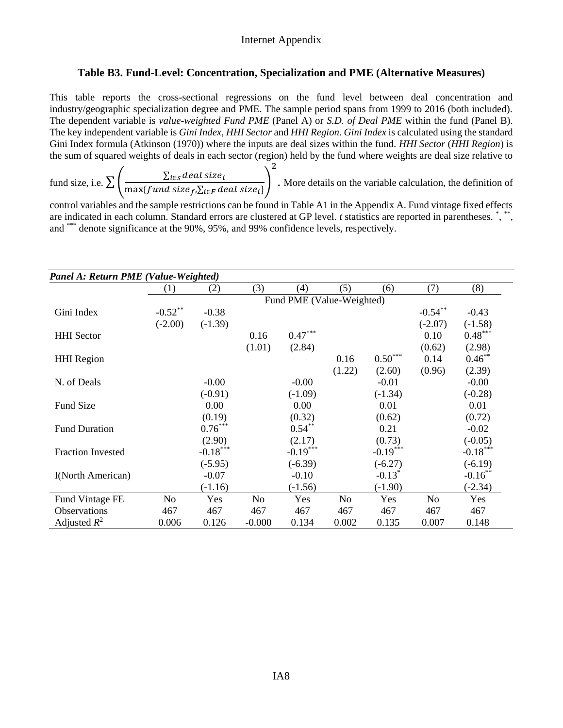### **Table B3. Fund-Level: Concentration, Specialization and PME (Alternative Measures)**

This table reports the cross-sectional regressions on the fund level between deal concentration and industry/geographic specialization degree and PME. The sample period spans from 1999 to 2016 (both included). The dependent variable is *value-weighted Fund PME* (Panel A) or *S.D. of Deal PME* within the fund (Panel B). The key independent variable is *Gini Index*, *HHI Sector* and *HHI Region*. *Gini Index* is calculated using the standard Gini Index formula (Atkinson (1970)) where the inputs are deal sizes within the fund. *HHI Sector* (*HHI Region*) is the sum of squared weights of deals in each sector (region) held by the fund where weights are deal size relative to

fund size, i.e.  $\sum \left( \frac{\sum_{i \in S} deal size_i}{\max(f and size S) \cdot \sum_{i \in S} deal} \right)$  $\frac{\sum_{l \in S} \text{ucut size}_l}{\max \{ \text{fund size}_f, \sum_{i \in F} \text{deal size}_i \}}$ 2 . More details on the variable calculation, the definition of

control variables and the sample restrictions can be found in Table A1 in the Appendix A. Fund vintage fixed effects are indicated in each column. Standard errors are clustered at GP level. *t* statistics are reported in parentheses. \*, \*\*, and \*\*\* denote significance at the 90%, 95%, and 99% confidence levels, respectively.

| Panel A: Return PME (Value-Weighted) |                |                                 |          |                           |        |            |                       |            |  |  |  |
|--------------------------------------|----------------|---------------------------------|----------|---------------------------|--------|------------|-----------------------|------------|--|--|--|
|                                      | (1)            | (2)                             | (3)      | (4)                       | (5)    | (6)        | (7)                   | (8)        |  |  |  |
|                                      |                |                                 |          | Fund PME (Value-Weighted) |        |            |                       |            |  |  |  |
| Gini Index                           | $-0.52$ **     | $-0.38$                         |          |                           |        |            | $-0.54$ <sup>**</sup> | $-0.43$    |  |  |  |
|                                      | $(-2.00)$      | $(-1.39)$                       |          |                           |        |            | $(-2.07)$             | $(-1.58)$  |  |  |  |
| <b>HHI</b> Sector                    |                |                                 | 0.16     | $0.47***$                 |        |            | 0.10                  | $0.48***$  |  |  |  |
|                                      |                |                                 | (1.01)   | (2.84)                    |        |            | (0.62)                | (2.98)     |  |  |  |
| <b>HHI</b> Region                    |                |                                 |          |                           | 0.16   | $0.50***$  | 0.14                  | $0.46***$  |  |  |  |
|                                      |                |                                 |          |                           | (1.22) | (2.60)     | (0.96)                | (2.39)     |  |  |  |
| N. of Deals                          |                | $-0.00$                         |          | $-0.00$                   |        | $-0.01$    |                       | $-0.00$    |  |  |  |
|                                      |                | $(-0.91)$                       |          | $(-1.09)$                 |        | $(-1.34)$  |                       | $(-0.28)$  |  |  |  |
| <b>Fund Size</b>                     |                | 0.00                            |          | 0.00                      |        | 0.01       |                       | 0.01       |  |  |  |
|                                      |                | (0.19)                          |          | (0.32)                    |        | (0.62)     |                       | (0.72)     |  |  |  |
| <b>Fund Duration</b>                 |                | $0.76***$                       |          | $0.54***$                 |        | 0.21       |                       | $-0.02$    |  |  |  |
|                                      |                | (2.90)                          |          | (2.17)                    |        | (0.73)     |                       | $(-0.05)$  |  |  |  |
| <b>Fraction Invested</b>             |                | $\textbf{-0.18}^{\ast\ast\ast}$ |          | $-0.19***$                |        | $-0.19***$ |                       | $-0.18***$ |  |  |  |
|                                      |                | $(-5.95)$                       |          | $(-6.39)$                 |        | $(-6.27)$  |                       | $(-6.19)$  |  |  |  |
| <b>I</b> (North American)            |                | $-0.07$                         |          | $-0.10$                   |        | $-0.13^*$  |                       | $-0.16$ ** |  |  |  |
|                                      |                | $(-1.16)$                       |          | $(-1.56)$                 |        | $(-1.90)$  |                       | $(-2.34)$  |  |  |  |
| Fund Vintage FE                      | N <sub>o</sub> | Yes                             | No       | Yes                       | No     | Yes        | N <sub>o</sub>        | Yes        |  |  |  |
| Observations                         | 467            | 467                             | 467      | 467                       | 467    | 467        | 467                   | 467        |  |  |  |
| Adjusted $R^2$                       | 0.006          | 0.126                           | $-0.000$ | 0.134                     | 0.002  | 0.135      | 0.007                 | 0.148      |  |  |  |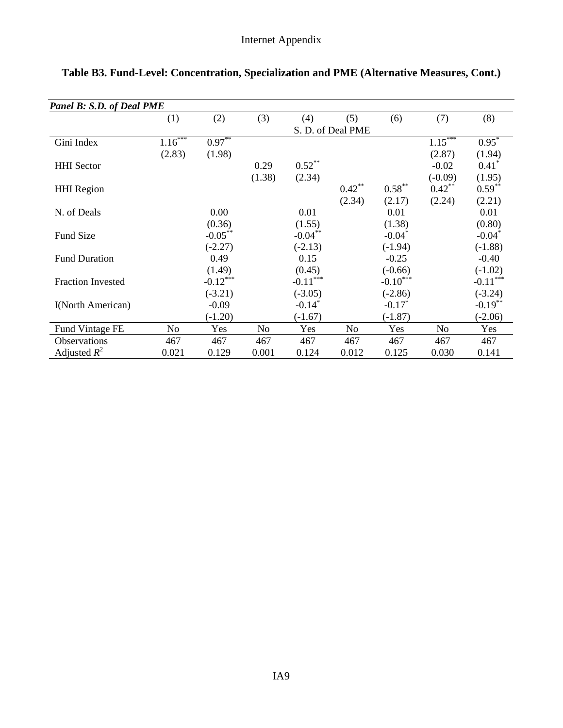| Panel B: S.D. of Deal PME |                |             |        |                      |                   |            |           |            |
|---------------------------|----------------|-------------|--------|----------------------|-------------------|------------|-----------|------------|
|                           | (1)            | (2)         | (3)    | (4)                  | (5)               | (6)        | (7)       | (8)        |
|                           |                |             |        |                      | S. D. of Deal PME |            |           |            |
| Gini Index                | $1.16***$      | $0.97***$   |        |                      |                   |            | $1.15***$ | $0.95*$    |
|                           | (2.83)         | (1.98)      |        |                      |                   |            | (2.87)    | (1.94)     |
| <b>HHI</b> Sector         |                |             | 0.29   | $0.52***$            |                   |            | $-0.02$   | $0.41^*$   |
|                           |                |             | (1.38) | (2.34)               |                   |            | $(-0.09)$ | (1.95)     |
| <b>HHI</b> Region         |                |             |        |                      | $0.42***$         | $0.58***$  | $0.42***$ | $0.59***$  |
|                           |                |             |        |                      | (2.34)            | (2.17)     | (2.24)    | (2.21)     |
| N. of Deals               |                | 0.00        |        | 0.01                 |                   | 0.01       |           | 0.01       |
|                           |                | (0.36)      |        | (1.55)               |                   | (1.38)     |           | (0.80)     |
| <b>Fund Size</b>          |                | $-0.05***$  |        | $-0.04***$           |                   | $-0.04*$   |           | $-0.04*$   |
|                           |                | $(-2.27)$   |        | $(-2.13)$            |                   | $(-1.94)$  |           | $(-1.88)$  |
| <b>Fund Duration</b>      |                | 0.49        |        | 0.15                 |                   | $-0.25$    |           | $-0.40$    |
|                           |                | (1.49)      |        | (0.45)               |                   | $(-0.66)$  |           | $(-1.02)$  |
| <b>Fraction Invested</b>  |                | $-0.12$ *** |        | $-0.11***$           |                   | $-0.10***$ |           | $-0.11***$ |
|                           |                | $(-3.21)$   |        | $(-3.05)$            |                   | $(-2.86)$  |           | $(-3.24)$  |
| I(North American)         |                | $-0.09$     |        | $-0.14$ <sup>*</sup> |                   | $-0.17*$   |           | $-0.19**$  |
|                           |                | $(-1.20)$   |        | $(-1.67)$            |                   | $(-1.87)$  |           | $(-2.06)$  |
| Fund Vintage FE           | N <sub>o</sub> | Yes         | No     | Yes                  | N <sub>0</sub>    | Yes        | No        | Yes        |
| Observations              | 467            | 467         | 467    | 467                  | 467               | 467        | 467       | 467        |
| Adjusted $R^2$            | 0.021          | 0.129       | 0.001  | 0.124                | 0.012             | 0.125      | 0.030     | 0.141      |

# **Table B3. Fund-Level: Concentration, Specialization and PME (Alternative Measures, Cont.)**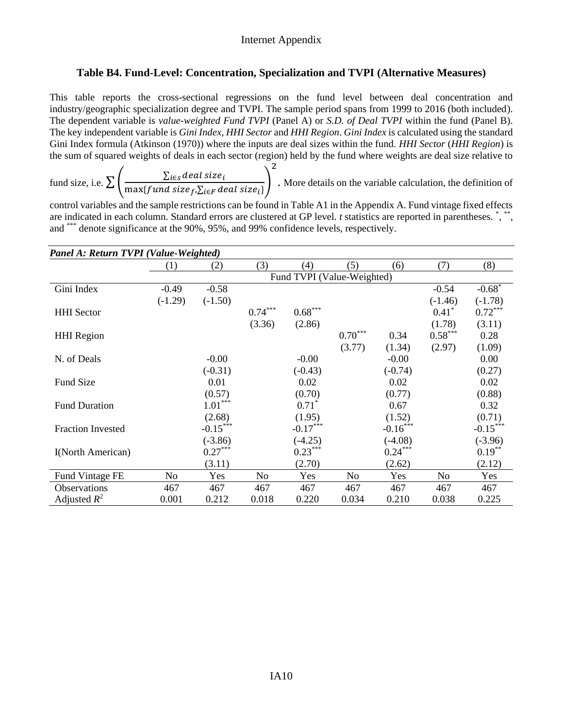### **Table B4. Fund-Level: Concentration, Specialization and TVPI (Alternative Measures)**

This table reports the cross-sectional regressions on the fund level between deal concentration and industry/geographic specialization degree and TVPI. The sample period spans from 1999 to 2016 (both included). The dependent variable is *value-weighted Fund TVPI* (Panel A) or *S.D. of Deal TVPI* within the fund (Panel B). The key independent variable is *Gini Index*, *HHI Sector* and *HHI Region*. *Gini Index* is calculated using the standard Gini Index formula (Atkinson (1970)) where the inputs are deal sizes within the fund. *HHI Sector* (*HHI Region*) is the sum of squared weights of deals in each sector (region) held by the fund where weights are deal size relative to

fund size, i.e.  $\sum \left( \frac{\sum_{i \in S} deal size_i}{\max(f and size S) \cdot \sum_{i \in S} deal} \right)$  $\frac{\sum_{l \in S} \text{ucut size}_l}{\max \{ \text{fund size}_f, \sum_{i \in F} \text{deal size}_i \}}$ 2 . More details on the variable calculation, the definition of

control variables and the sample restrictions can be found in Table A1 in the Appendix A. Fund vintage fixed effects are indicated in each column. Standard errors are clustered at GP level. *t* statistics are reported in parentheses. \*, \*\*, and \*\*\* denote significance at the 90%, 95%, and 99% confidence levels, respectively.

| Panel A: Return TVPI (Value-Weighted) |           |            |                |                            |           |            |           |            |
|---------------------------------------|-----------|------------|----------------|----------------------------|-----------|------------|-----------|------------|
|                                       | (1)       | (2)        | (3)            | (4)                        | (5)       | (6)        | (7)       | (8)        |
|                                       |           |            |                | Fund TVPI (Value-Weighted) |           |            |           |            |
| Gini Index                            | $-0.49$   | $-0.58$    |                |                            |           |            | $-0.54$   | $-0.68*$   |
|                                       | $(-1.29)$ | $(-1.50)$  |                |                            |           |            | $(-1.46)$ | $(-1.78)$  |
| <b>HHI</b> Sector                     |           |            | $0.74***$      | $0.68***$                  |           |            | $0.41*$   | $0.72***$  |
|                                       |           |            | (3.36)         | (2.86)                     |           |            | (1.78)    | (3.11)     |
| <b>HHI</b> Region                     |           |            |                |                            | $0.70***$ | 0.34       | $0.58***$ | 0.28       |
|                                       |           |            |                |                            | (3.77)    | (1.34)     | (2.97)    | (1.09)     |
| N. of Deals                           |           | $-0.00$    |                | $-0.00$                    |           | $-0.00$    |           | 0.00       |
|                                       |           | $(-0.31)$  |                | $(-0.43)$                  |           | $(-0.74)$  |           | (0.27)     |
| <b>Fund Size</b>                      |           | 0.01       |                | 0.02                       |           | 0.02       |           | 0.02       |
|                                       |           | (0.57)     |                | (0.70)                     |           | (0.77)     |           | (0.88)     |
| <b>Fund Duration</b>                  |           | $1.01***$  |                | $0.71*$                    |           | 0.67       |           | 0.32       |
|                                       |           | (2.68)     |                | (1.95)                     |           | (1.52)     |           | (0.71)     |
| <b>Fraction Invested</b>              |           | $-0.15***$ |                | $-0.17***$                 |           | $-0.16***$ |           | $-0.15***$ |
|                                       |           | $(-3.86)$  |                | $(-4.25)$                  |           | $(-4.08)$  |           | $(-3.96)$  |
| I(North American)                     |           | $0.27***$  |                | $0.23***$                  |           | $0.24***$  |           | $0.19***$  |
|                                       |           | (3.11)     |                | (2.70)                     |           | (2.62)     |           | (2.12)     |
| Fund Vintage FE                       | No.       | Yes        | N <sub>o</sub> | Yes                        | No        | Yes        | No        | Yes        |
| Observations                          | 467       | 467        | 467            | 467                        | 467       | 467        | 467       | 467        |
| Adjusted $R^2$                        | 0.001     | 0.212      | 0.018          | 0.220                      | 0.034     | 0.210      | 0.038     | 0.225      |